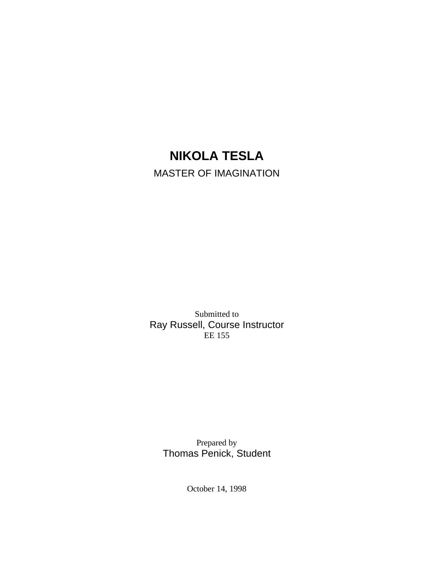# **NIKOLA TESLA** MASTER OF IMAGINATION

Submitted to Ray Russell, Course Instructor  $EE$  155

Prepared by Thomas Penick, Student

October 14, 1998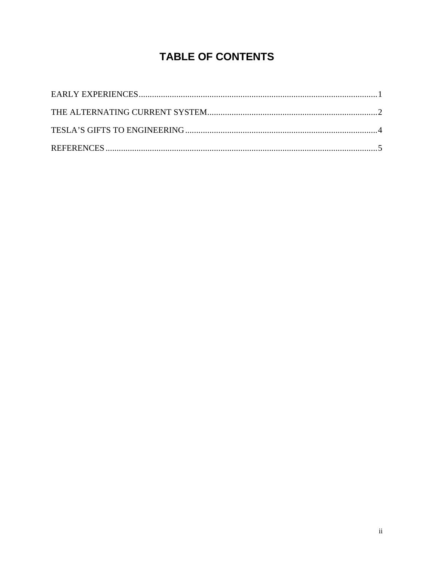## **TABLE OF CONTENTS**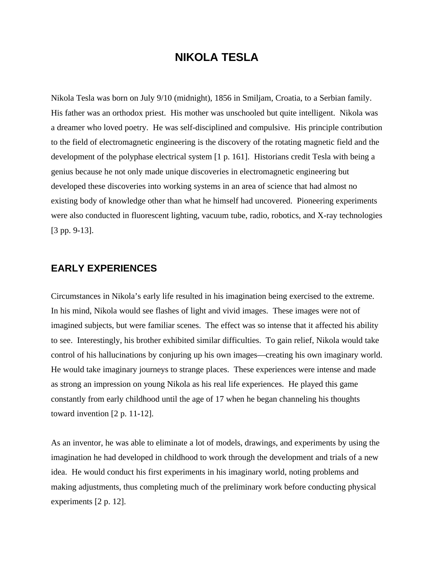## **NIKOLA TESLA**

Nikola Tesla was born on July 9/10 (midnight), 1856 in Smiljam, Croatia, to a Serbian family. His father was an orthodox priest. His mother was unschooled but quite intelligent. Nikola was a dreamer who loved poetry. He was self-disciplined and compulsive. His principle contribution to the field of electromagnetic engineering is the discovery of the rotating magnetic field and the development of the polyphase electrical system [1 p. 161]. Historians credit Tesla with being a genius because he not only made unique discoveries in electromagnetic engineering but developed these discoveries into working systems in an area of science that had almost no existing body of knowledge other than what he himself had uncovered. Pioneering experiments were also conducted in fluorescent lighting, vacuum tube, radio, robotics, and X-ray technologies [3 pp. 9-13].

#### **EARLY EXPERIENCES**

Circumstances in Nikola's early life resulted in his imagination being exercised to the extreme. In his mind, Nikola would see flashes of light and vivid images. These images were not of imagined subjects, but were familiar scenes. The effect was so intense that it affected his ability to see. Interestingly, his brother exhibited similar difficulties. To gain relief, Nikola would take control of his hallucinations by conjuring up his own images—creating his own imaginary world. He would take imaginary journeys to strange places. These experiences were intense and made as strong an impression on young Nikola as his real life experiences. He played this game constantly from early childhood until the age of 17 when he began channeling his thoughts toward invention [2 p. 11-12].

As an inventor, he was able to eliminate a lot of models, drawings, and experiments by using the imagination he had developed in childhood to work through the development and trials of a new idea. He would conduct his first experiments in his imaginary world, noting problems and making adjustments, thus completing much of the preliminary work before conducting physical experiments [2 p. 12].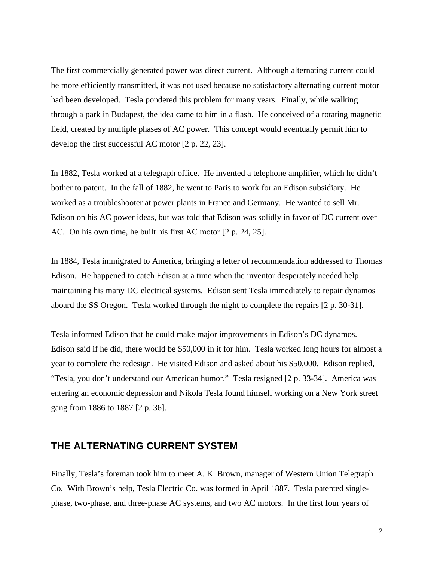The first commercially generated power was direct current. Although alternating current could be more efficiently transmitted, it was not used because no satisfactory alternating current motor had been developed. Tesla pondered this problem for many years. Finally, while walking through a park in Budapest, the idea came to him in a flash. He conceived of a rotating magnetic field, created by multiple phases of AC power. This concept would eventually permit him to develop the first successful AC motor [2 p. 22, 23].

In 1882, Tesla worked at a telegraph office. He invented a telephone amplifier, which he didn't bother to patent. In the fall of 1882, he went to Paris to work for an Edison subsidiary. He worked as a troubleshooter at power plants in France and Germany. He wanted to sell Mr. Edison on his AC power ideas, but was told that Edison was solidly in favor of DC current over AC. On his own time, he built his first AC motor [2 p. 24, 25].

In 1884, Tesla immigrated to America, bringing a letter of recommendation addressed to Thomas Edison. He happened to catch Edison at a time when the inventor desperately needed help maintaining his many DC electrical systems. Edison sent Tesla immediately to repair dynamos aboard the SS Oregon. Tesla worked through the night to complete the repairs [2 p. 30-31].

Tesla informed Edison that he could make major improvements in Edison's DC dynamos. Edison said if he did, there would be \$50,000 in it for him. Tesla worked long hours for almost a year to complete the redesign. He visited Edison and asked about his \$50,000. Edison replied, "Tesla, you don't understand our American humor." Tesla resigned [2 p. 33-34]. America was entering an economic depression and Nikola Tesla found himself working on a New York street gang from 1886 to 1887 [2 p. 36].

#### **THE ALTERNATING CURRENT SYSTEM**

Finally, Tesla's foreman took him to meet A. K. Brown, manager of Western Union Telegraph Co. With Brown's help, Tesla Electric Co. was formed in April 1887. Tesla patented singlephase, two-phase, and three-phase AC systems, and two AC motors. In the first four years of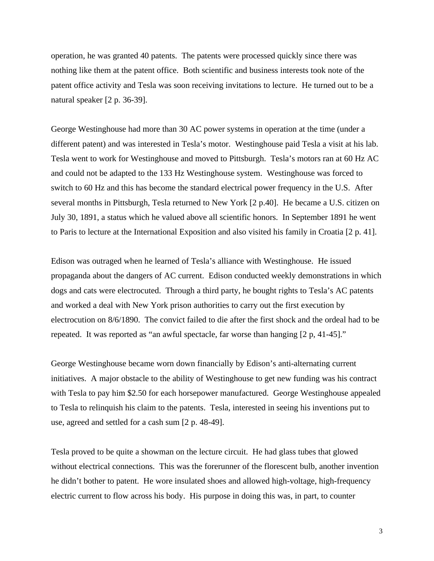operation, he was granted 40 patents. The patents were processed quickly since there was nothing like them at the patent office. Both scientific and business interests took note of the patent office activity and Tesla was soon receiving invitations to lecture. He turned out to be a natural speaker [2 p. 36-39].

George Westinghouse had more than 30 AC power systems in operation at the time (under a different patent) and was interested in Tesla's motor. Westinghouse paid Tesla a visit at his lab. Tesla went to work for Westinghouse and moved to Pittsburgh. Tesla's motors ran at 60 Hz AC and could not be adapted to the 133 Hz Westinghouse system. Westinghouse was forced to switch to 60 Hz and this has become the standard electrical power frequency in the U.S. After several months in Pittsburgh, Tesla returned to New York [2 p.40]. He became a U.S. citizen on July 30, 1891, a status which he valued above all scientific honors. In September 1891 he went to Paris to lecture at the International Exposition and also visited his family in Croatia [2 p. 41].

Edison was outraged when he learned of Tesla's alliance with Westinghouse. He issued propaganda about the dangers of AC current. Edison conducted weekly demonstrations in which dogs and cats were electrocuted. Through a third party, he bought rights to Tesla's AC patents and worked a deal with New York prison authorities to carry out the first execution by electrocution on 8/6/1890. The convict failed to die after the first shock and the ordeal had to be repeated. It was reported as "an awful spectacle, far worse than hanging [2 p, 41-45]."

George Westinghouse became worn down financially by Edison's anti-alternating current initiatives. A major obstacle to the ability of Westinghouse to get new funding was his contract with Tesla to pay him \$2.50 for each horsepower manufactured. George Westinghouse appealed to Tesla to relinquish his claim to the patents. Tesla, interested in seeing his inventions put to use, agreed and settled for a cash sum [2 p. 48-49].

Tesla proved to be quite a showman on the lecture circuit. He had glass tubes that glowed without electrical connections. This was the forerunner of the florescent bulb, another invention he didn't bother to patent. He wore insulated shoes and allowed high-voltage, high-frequency electric current to flow across his body. His purpose in doing this was, in part, to counter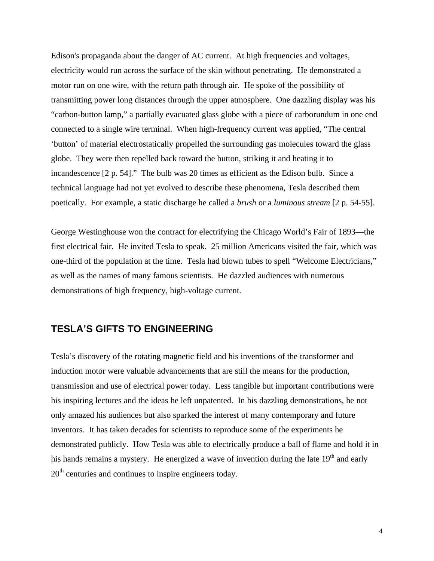Edison's propaganda about the danger of AC current. At high frequencies and voltages, electricity would run across the surface of the skin without penetrating. He demonstrated a motor run on one wire, with the return path through air. He spoke of the possibility of transmitting power long distances through the upper atmosphere. One dazzling display was his "carbon-button lamp," a partially evacuated glass globe with a piece of carborundum in one end connected to a single wire terminal. When high-frequency current was applied, "The central 'button' of material electrostatically propelled the surrounding gas molecules toward the glass globe. They were then repelled back toward the button, striking it and heating it to incandescence [2 p. 54]." The bulb was 20 times as efficient as the Edison bulb. Since a technical language had not yet evolved to describe these phenomena, Tesla described them poetically. For example, a static discharge he called a *brush* or a *luminous stream* [2 p. 54-55].

George Westinghouse won the contract for electrifying the Chicago World's Fair of 1893—the first electrical fair. He invited Tesla to speak. 25 million Americans visited the fair, which was one-third of the population at the time. Tesla had blown tubes to spell "Welcome Electricians," as well as the names of many famous scientists. He dazzled audiences with numerous demonstrations of high frequency, high-voltage current.

#### **TESLA'S GIFTS TO ENGINEERING**

Tesla's discovery of the rotating magnetic field and his inventions of the transformer and induction motor were valuable advancements that are still the means for the production, transmission and use of electrical power today. Less tangible but important contributions were his inspiring lectures and the ideas he left unpatented. In his dazzling demonstrations, he not only amazed his audiences but also sparked the interest of many contemporary and future inventors. It has taken decades for scientists to reproduce some of the experiments he demonstrated publicly. How Tesla was able to electrically produce a ball of flame and hold it in his hands remains a mystery. He energized a wave of invention during the late  $19<sup>th</sup>$  and early  $20<sup>th</sup>$  centuries and continues to inspire engineers today.